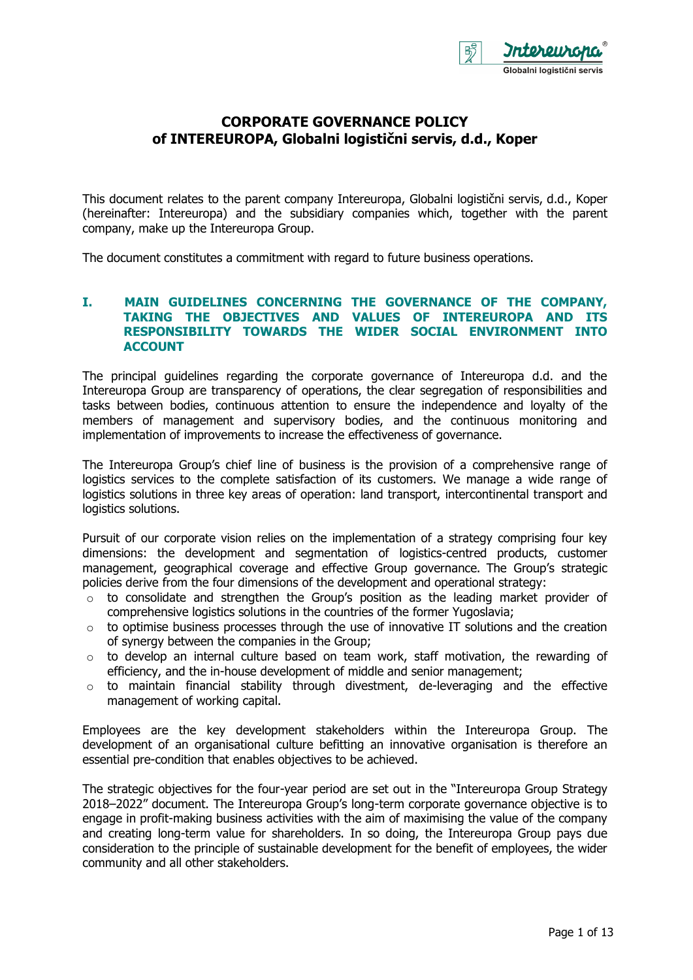

# **CORPORATE GOVERNANCE POLICY of INTEREUROPA, Globalni logistični servis, d.d., Koper**

This document relates to the parent company Intereuropa, Globalni logistični servis, d.d., Koper (hereinafter: Intereuropa) and the subsidiary companies which, together with the parent company, make up the Intereuropa Group.

The document constitutes a commitment with regard to future business operations.

### **I. MAIN GUIDELINES CONCERNING THE GOVERNANCE OF THE COMPANY, TAKING THE OBJECTIVES AND VALUES OF INTEREUROPA AND ITS RESPONSIBILITY TOWARDS THE WIDER SOCIAL ENVIRONMENT INTO ACCOUNT**

The principal guidelines regarding the corporate governance of Intereuropa d.d. and the Intereuropa Group are transparency of operations, the clear segregation of responsibilities and tasks between bodies, continuous attention to ensure the independence and loyalty of the members of management and supervisory bodies, and the continuous monitoring and implementation of improvements to increase the effectiveness of governance.

The Intereuropa Group's chief line of business is the provision of a comprehensive range of logistics services to the complete satisfaction of its customers. We manage a wide range of logistics solutions in three key areas of operation: land transport, intercontinental transport and logistics solutions.

Pursuit of our corporate vision relies on the implementation of a strategy comprising four key dimensions: the development and segmentation of logistics-centred products, customer management, geographical coverage and effective Group governance. The Group's strategic policies derive from the four dimensions of the development and operational strategy:

- $\circ$  to consolidate and strengthen the Group's position as the leading market provider of comprehensive logistics solutions in the countries of the former Yugoslavia;
- $\circ$  to optimise business processes through the use of innovative IT solutions and the creation of synergy between the companies in the Group;
- $\circ$  to develop an internal culture based on team work, staff motivation, the rewarding of efficiency, and the in-house development of middle and senior management;
- o to maintain financial stability through divestment, de-leveraging and the effective management of working capital.

Employees are the key development stakeholders within the Intereuropa Group. The development of an organisational culture befitting an innovative organisation is therefore an essential pre-condition that enables objectives to be achieved.

The strategic objectives for the four-year period are set out in the "Intereuropa Group Strategy 2018–2022" document. The Intereuropa Group's long-term corporate governance objective is to engage in profit-making business activities with the aim of maximising the value of the company and creating long-term value for shareholders. In so doing, the Intereuropa Group pays due consideration to the principle of sustainable development for the benefit of employees, the wider community and all other stakeholders.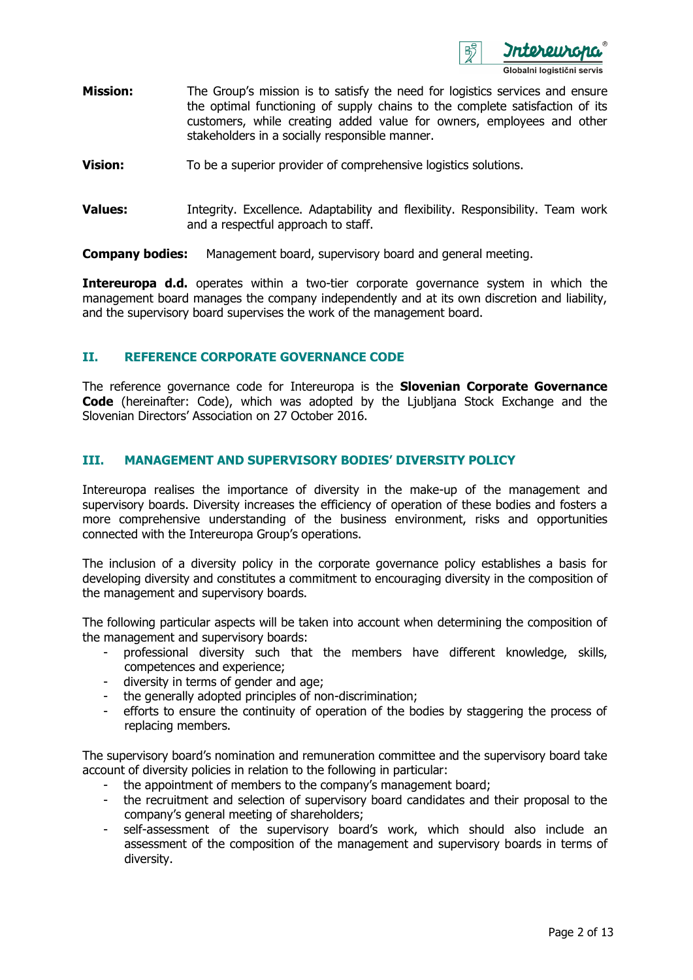

- **Mission:** The Group's mission is to satisfy the need for logistics services and ensure the optimal functioning of supply chains to the complete satisfaction of its customers, while creating added value for owners, employees and other stakeholders in a socially responsible manner.
- **Vision:** To be a superior provider of comprehensive logistics solutions.
- **Values:** Integrity. Excellence. Adaptability and flexibility. Responsibility. Team work and a respectful approach to staff.

**Company bodies:** Management board, supervisory board and general meeting.

**Intereuropa d.d.** operates within a two-tier corporate governance system in which the management board manages the company independently and at its own discretion and liability, and the supervisory board supervises the work of the management board.

## **II. REFERENCE CORPORATE GOVERNANCE CODE**

The reference governance code for Intereuropa is the **Slovenian Corporate Governance Code** (hereinafter: Code), which was adopted by the Ljubljana Stock Exchange and the Slovenian Directors' Association on 27 October 2016.

### **III. MANAGEMENT AND SUPERVISORY BODIES' DIVERSITY POLICY**

Intereuropa realises the importance of diversity in the make-up of the management and supervisory boards. Diversity increases the efficiency of operation of these bodies and fosters a more comprehensive understanding of the business environment, risks and opportunities connected with the Intereuropa Group's operations.

The inclusion of a diversity policy in the corporate governance policy establishes a basis for developing diversity and constitutes a commitment to encouraging diversity in the composition of the management and supervisory boards.

The following particular aspects will be taken into account when determining the composition of the management and supervisory boards:

- professional diversity such that the members have different knowledge, skills, competences and experience;
- diversity in terms of gender and age;
- the generally adopted principles of non-discrimination;
- efforts to ensure the continuity of operation of the bodies by staggering the process of replacing members.

The supervisory board's nomination and remuneration committee and the supervisory board take account of diversity policies in relation to the following in particular:

- the appointment of members to the company's management board;
- the recruitment and selection of supervisory board candidates and their proposal to the company's general meeting of shareholders;
- self-assessment of the supervisory board's work, which should also include an assessment of the composition of the management and supervisory boards in terms of diversity.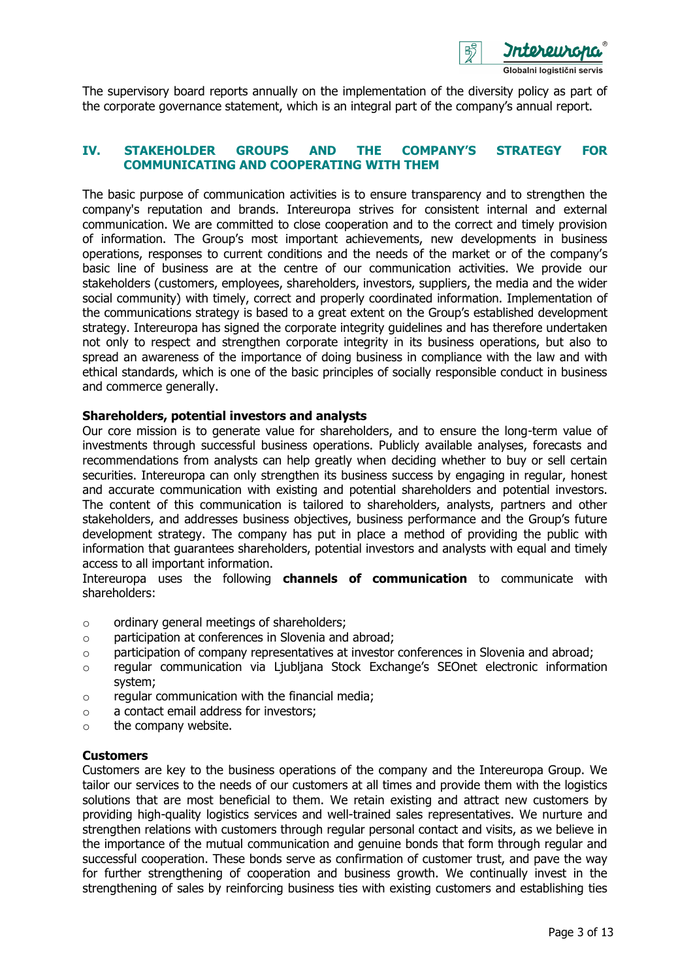

The supervisory board reports annually on the implementation of the diversity policy as part of the corporate governance statement, which is an integral part of the company's annual report.

## **IV. STAKEHOLDER GROUPS AND THE COMPANY'S STRATEGY FOR COMMUNICATING AND COOPERATING WITH THEM**

The basic purpose of communication activities is to ensure transparency and to strengthen the company's reputation and brands. Intereuropa strives for consistent internal and external communication. We are committed to close cooperation and to the correct and timely provision of information. The Group's most important achievements, new developments in business operations, responses to current conditions and the needs of the market or of the company's basic line of business are at the centre of our communication activities. We provide our stakeholders (customers, employees, shareholders, investors, suppliers, the media and the wider social community) with timely, correct and properly coordinated information. Implementation of the communications strategy is based to a great extent on the Group's established development strategy. Intereuropa has signed the corporate integrity guidelines and has therefore undertaken not only to respect and strengthen corporate integrity in its business operations, but also to spread an awareness of the importance of doing business in compliance with the law and with ethical standards, which is one of the basic principles of socially responsible conduct in business and commerce generally.

### **Shareholders, potential investors and analysts**

Our core mission is to generate value for shareholders, and to ensure the long-term value of investments through successful business operations. Publicly available analyses, forecasts and recommendations from analysts can help greatly when deciding whether to buy or sell certain securities. Intereuropa can only strengthen its business success by engaging in regular, honest and accurate communication with existing and potential shareholders and potential investors. The content of this communication is tailored to shareholders, analysts, partners and other stakeholders, and addresses business objectives, business performance and the Group's future development strategy. The company has put in place a method of providing the public with information that guarantees shareholders, potential investors and analysts with equal and timely access to all important information.

Intereuropa uses the following **channels of communication** to communicate with shareholders:

- o ordinary general meetings of shareholders;
- o participation at conferences in Slovenia and abroad;
- o participation of company representatives at investor conferences in Slovenia and abroad;
- $\circ$  regular communication via Ljubljana Stock Exchange's SEOnet electronic information system;
- $\circ$  regular communication with the financial media:
- o a contact email address for investors;
- o the company website.

### **Customers**

Customers are key to the business operations of the company and the Intereuropa Group. We tailor our services to the needs of our customers at all times and provide them with the logistics solutions that are most beneficial to them. We retain existing and attract new customers by providing high-quality logistics services and well-trained sales representatives. We nurture and strengthen relations with customers through regular personal contact and visits, as we believe in the importance of the mutual communication and genuine bonds that form through regular and successful cooperation. These bonds serve as confirmation of customer trust, and pave the way for further strengthening of cooperation and business growth. We continually invest in the strengthening of sales by reinforcing business ties with existing customers and establishing ties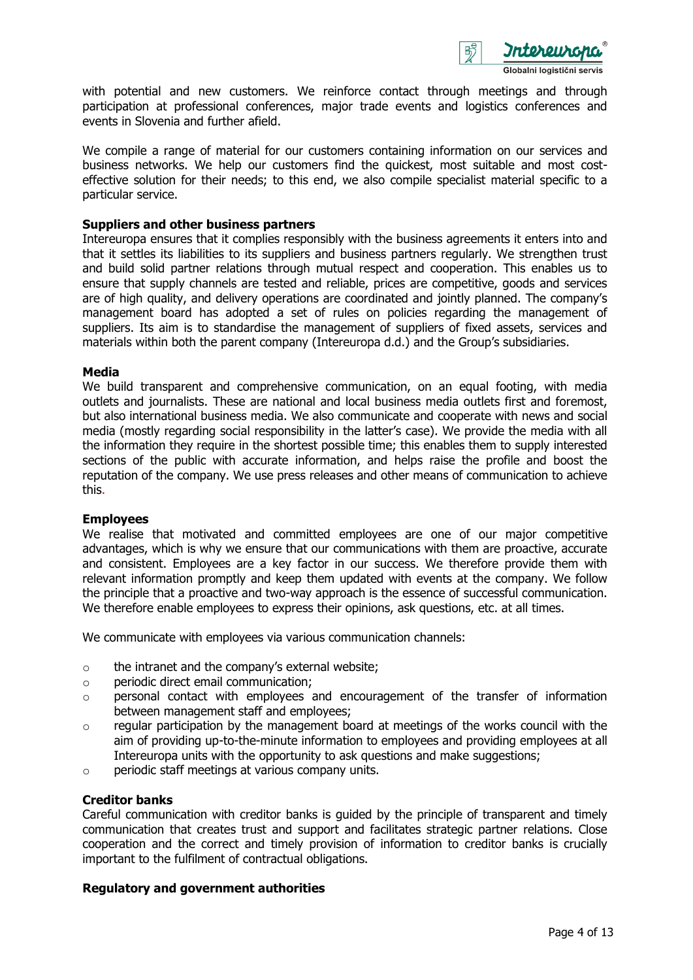

with potential and new customers. We reinforce contact through meetings and through participation at professional conferences, major trade events and logistics conferences and events in Slovenia and further afield.

We compile a range of material for our customers containing information on our services and business networks. We help our customers find the quickest, most suitable and most costeffective solution for their needs; to this end, we also compile specialist material specific to a particular service.

#### **Suppliers and other business partners**

Intereuropa ensures that it complies responsibly with the business agreements it enters into and that it settles its liabilities to its suppliers and business partners regularly. We strengthen trust and build solid partner relations through mutual respect and cooperation. This enables us to ensure that supply channels are tested and reliable, prices are competitive, goods and services are of high quality, and delivery operations are coordinated and jointly planned. The company's management board has adopted a set of rules on policies regarding the management of suppliers. Its aim is to standardise the management of suppliers of fixed assets, services and materials within both the parent company (Intereuropa d.d.) and the Group's subsidiaries.

#### **Media**

We build transparent and comprehensive communication, on an equal footing, with media outlets and journalists. These are national and local business media outlets first and foremost, but also international business media. We also communicate and cooperate with news and social media (mostly regarding social responsibility in the latter's case). We provide the media with all the information they require in the shortest possible time; this enables them to supply interested sections of the public with accurate information, and helps raise the profile and boost the reputation of the company. We use press releases and other means of communication to achieve this.

#### **Employees**

We realise that motivated and committed employees are one of our major competitive advantages, which is why we ensure that our communications with them are proactive, accurate and consistent. Employees are a key factor in our success. We therefore provide them with relevant information promptly and keep them updated with events at the company. We follow the principle that a proactive and two-way approach is the essence of successful communication. We therefore enable employees to express their opinions, ask questions, etc. at all times.

We communicate with employees via various communication channels:

- o the intranet and the company's external website;
- o periodic direct email communication;
- $\circ$  personal contact with employees and encouragement of the transfer of information between management staff and employees;
- $\circ$  regular participation by the management board at meetings of the works council with the aim of providing up-to-the-minute information to employees and providing employees at all Intereuropa units with the opportunity to ask questions and make suggestions;
- o periodic staff meetings at various company units.

### **Creditor banks**

Careful communication with creditor banks is guided by the principle of transparent and timely communication that creates trust and support and facilitates strategic partner relations. Close cooperation and the correct and timely provision of information to creditor banks is crucially important to the fulfilment of contractual obligations.

### **Regulatory and government authorities**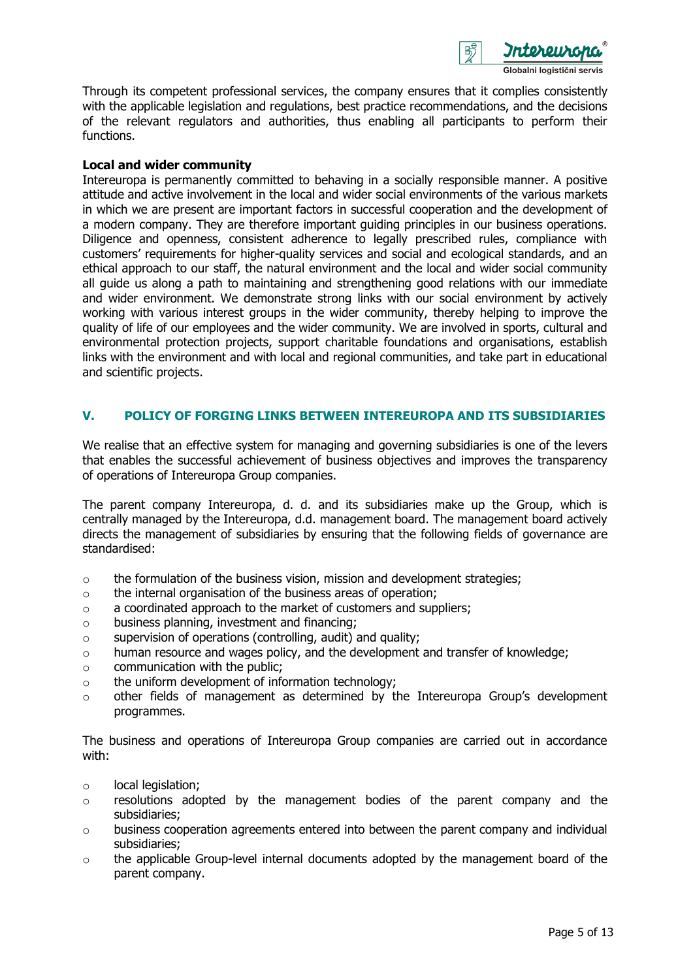

Through its competent professional services, the company ensures that it complies consistently with the applicable legislation and regulations, best practice recommendations, and the decisions of the relevant regulators and authorities, thus enabling all participants to perform their functions.

### **Local and wider community**

Intereuropa is permanently committed to behaving in a socially responsible manner. A positive attitude and active involvement in the local and wider social environments of the various markets in which we are present are important factors in successful cooperation and the development of a modern company. They are therefore important guiding principles in our business operations. Diligence and openness, consistent adherence to legally prescribed rules, compliance with customers' requirements for higher-quality services and social and ecological standards, and an ethical approach to our staff, the natural environment and the local and wider social community all guide us along a path to maintaining and strengthening good relations with our immediate and wider environment. We demonstrate strong links with our social environment by actively working with various interest groups in the wider community, thereby helping to improve the quality of life of our employees and the wider community. We are involved in sports, cultural and environmental protection projects, support charitable foundations and organisations, establish links with the environment and with local and regional communities, and take part in educational and scientific projects.

## **V. POLICY OF FORGING LINKS BETWEEN INTEREUROPA AND ITS SUBSIDIARIES**

We realise that an effective system for managing and governing subsidiaries is one of the levers that enables the successful achievement of business objectives and improves the transparency of operations of Intereuropa Group companies.

The parent company Intereuropa, d. d. and its subsidiaries make up the Group, which is centrally managed by the Intereuropa, d.d. management board. The management board actively directs the management of subsidiaries by ensuring that the following fields of governance are standardised:

- $\circ$  the formulation of the business vision, mission and development strategies;
- o the internal organisation of the business areas of operation;
- $\circ$  a coordinated approach to the market of customers and suppliers:
- o business planning, investment and financing;
- o supervision of operations (controlling, audit) and quality;
- o human resource and wages policy, and the development and transfer of knowledge;
- $\circ$  communication with the public:
- o the uniform development of information technology;
- $\circ$  other fields of management as determined by the Intereuropa Group's development programmes.

The business and operations of Intereuropa Group companies are carried out in accordance with:

- o local legislation;
- $\circ$  resolutions adopted by the management bodies of the parent company and the subsidiaries;
- $\circ$  business cooperation agreements entered into between the parent company and individual subsidiaries;
- o the applicable Group-level internal documents adopted by the management board of the parent company.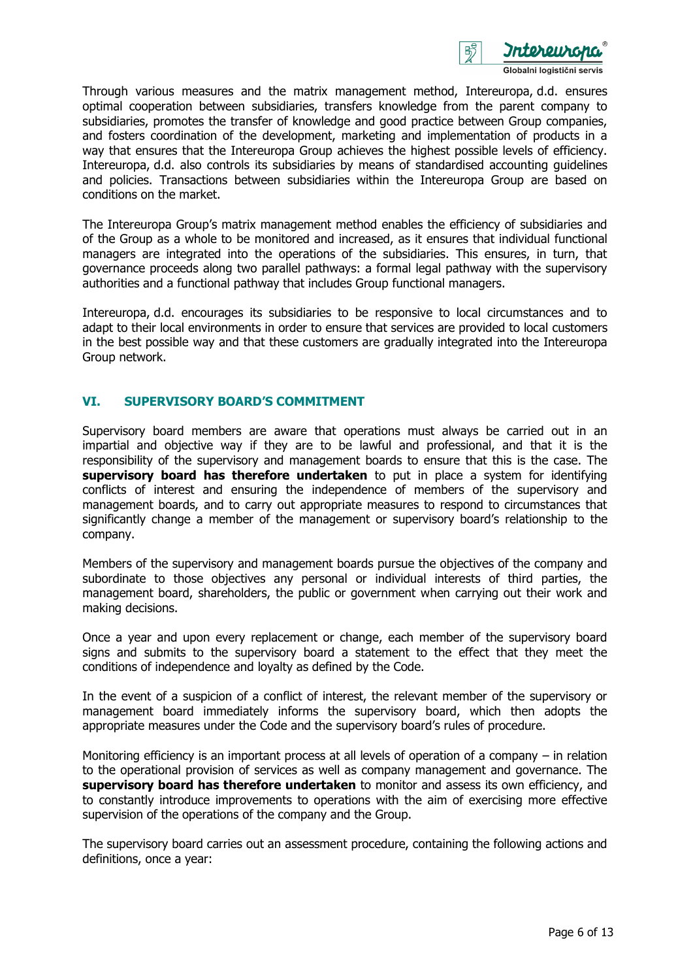

Through various measures and the matrix management method, Intereuropa, d.d. ensures optimal cooperation between subsidiaries, transfers knowledge from the parent company to subsidiaries, promotes the transfer of knowledge and good practice between Group companies, and fosters coordination of the development, marketing and implementation of products in a way that ensures that the Intereuropa Group achieves the highest possible levels of efficiency. Intereuropa, d.d. also controls its subsidiaries by means of standardised accounting guidelines and policies. Transactions between subsidiaries within the Intereuropa Group are based on conditions on the market.

The Intereuropa Group's matrix management method enables the efficiency of subsidiaries and of the Group as a whole to be monitored and increased, as it ensures that individual functional managers are integrated into the operations of the subsidiaries. This ensures, in turn, that governance proceeds along two parallel pathways: a formal legal pathway with the supervisory authorities and a functional pathway that includes Group functional managers.

Intereuropa, d.d. encourages its subsidiaries to be responsive to local circumstances and to adapt to their local environments in order to ensure that services are provided to local customers in the best possible way and that these customers are gradually integrated into the Intereuropa Group network.

## **VI. SUPERVISORY BOARD'S COMMITMENT**

Supervisory board members are aware that operations must always be carried out in an impartial and objective way if they are to be lawful and professional, and that it is the responsibility of the supervisory and management boards to ensure that this is the case. The **supervisory board has therefore undertaken** to put in place a system for identifying conflicts of interest and ensuring the independence of members of the supervisory and management boards, and to carry out appropriate measures to respond to circumstances that significantly change a member of the management or supervisory board's relationship to the company.

Members of the supervisory and management boards pursue the objectives of the company and subordinate to those objectives any personal or individual interests of third parties, the management board, shareholders, the public or government when carrying out their work and making decisions.

Once a year and upon every replacement or change, each member of the supervisory board signs and submits to the supervisory board a statement to the effect that they meet the conditions of independence and loyalty as defined by the Code.

In the event of a suspicion of a conflict of interest, the relevant member of the supervisory or management board immediately informs the supervisory board, which then adopts the appropriate measures under the Code and the supervisory board's rules of procedure.

Monitoring efficiency is an important process at all levels of operation of a company – in relation to the operational provision of services as well as company management and governance. The **supervisory board has therefore undertaken** to monitor and assess its own efficiency, and to constantly introduce improvements to operations with the aim of exercising more effective supervision of the operations of the company and the Group.

The supervisory board carries out an assessment procedure, containing the following actions and definitions, once a year: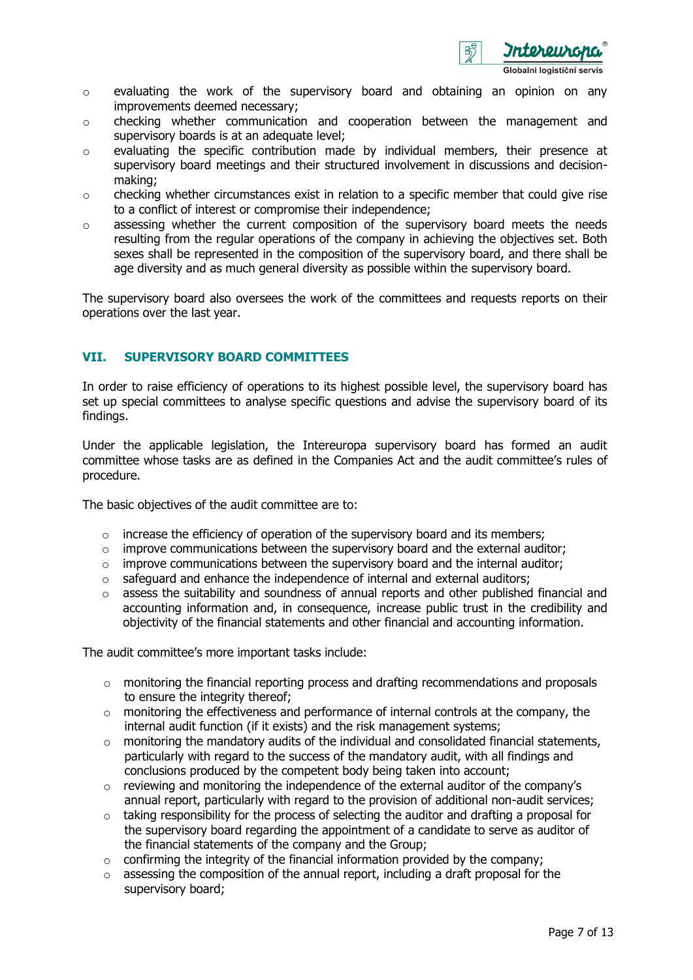

- o evaluating the work of the supervisory board and obtaining an opinion on any improvements deemed necessary;
- $\circ$  checking whether communication and cooperation between the management and supervisory boards is at an adequate level;
- o evaluating the specific contribution made by individual members, their presence at supervisory board meetings and their structured involvement in discussions and decisionmaking;
- $\circ$  checking whether circumstances exist in relation to a specific member that could give rise to a conflict of interest or compromise their independence;
- $\circ$  assessing whether the current composition of the supervisory board meets the needs resulting from the regular operations of the company in achieving the objectives set. Both sexes shall be represented in the composition of the supervisory board, and there shall be age diversity and as much general diversity as possible within the supervisory board.

The supervisory board also oversees the work of the committees and requests reports on their operations over the last year.

### **VII. SUPERVISORY BOARD COMMITTEES**

In order to raise efficiency of operations to its highest possible level, the supervisory board has set up special committees to analyse specific questions and advise the supervisory board of its findings.

Under the applicable legislation, the Intereuropa supervisory board has formed an audit committee whose tasks are as defined in the Companies Act and the audit committee's rules of procedure.

The basic objectives of the audit committee are to:

- $\circ$  increase the efficiency of operation of the supervisory board and its members;
- $\circ$  improve communications between the supervisory board and the external auditor;
- $\circ$  improve communications between the supervisory board and the internal auditor;
- o safeguard and enhance the independence of internal and external auditors;
- o assess the suitability and soundness of annual reports and other published financial and accounting information and, in consequence, increase public trust in the credibility and objectivity of the financial statements and other financial and accounting information.

The audit committee's more important tasks include:

- o monitoring the financial reporting process and drafting recommendations and proposals to ensure the integrity thereof;
- $\circ$  monitoring the effectiveness and performance of internal controls at the company, the internal audit function (if it exists) and the risk management systems;
- $\circ$  monitoring the mandatory audits of the individual and consolidated financial statements, particularly with regard to the success of the mandatory audit, with all findings and conclusions produced by the competent body being taken into account;
- $\circ$  reviewing and monitoring the independence of the external auditor of the company's annual report, particularly with regard to the provision of additional non-audit services;
- $\circ$  taking responsibility for the process of selecting the auditor and drafting a proposal for the supervisory board regarding the appointment of a candidate to serve as auditor of the financial statements of the company and the Group;
- $\circ$  confirming the integrity of the financial information provided by the company;
- o assessing the composition of the annual report, including a draft proposal for the supervisory board;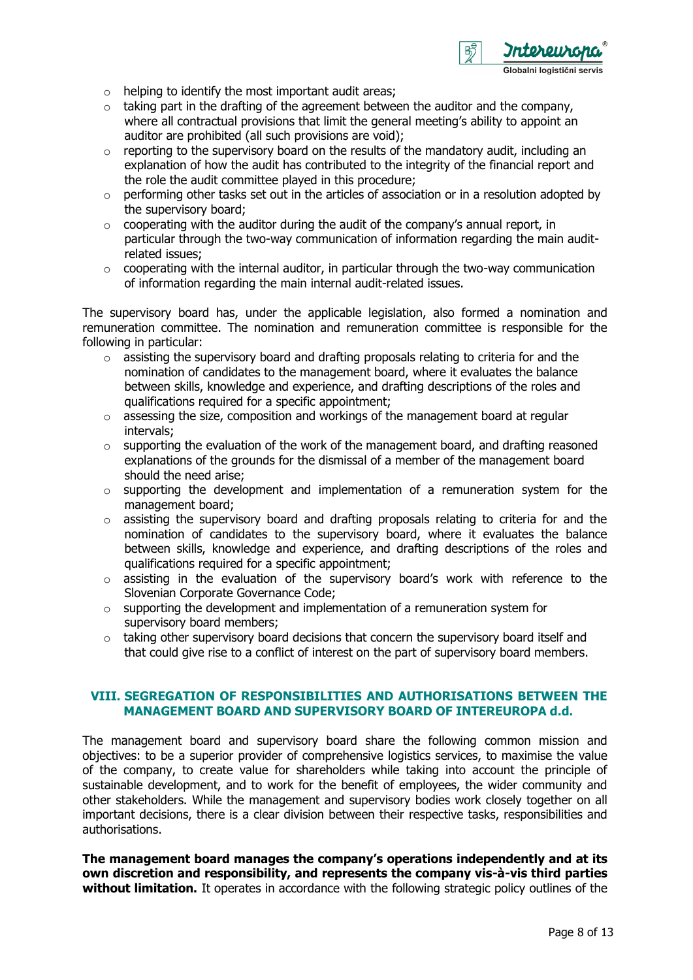

- $\circ$  helping to identify the most important audit areas;
- $\circ$  taking part in the drafting of the agreement between the auditor and the company, where all contractual provisions that limit the general meeting's ability to appoint an auditor are prohibited (all such provisions are void);
- o reporting to the supervisory board on the results of the mandatory audit, including an explanation of how the audit has contributed to the integrity of the financial report and the role the audit committee played in this procedure;
- $\circ$  performing other tasks set out in the articles of association or in a resolution adopted by the supervisory board;
- $\circ$  cooperating with the auditor during the audit of the company's annual report, in particular through the two-way communication of information regarding the main auditrelated issues;
- $\circ$  cooperating with the internal auditor, in particular through the two-way communication of information regarding the main internal audit-related issues.

The supervisory board has, under the applicable legislation, also formed a nomination and remuneration committee. The nomination and remuneration committee is responsible for the following in particular:

- o assisting the supervisory board and drafting proposals relating to criteria for and the nomination of candidates to the management board, where it evaluates the balance between skills, knowledge and experience, and drafting descriptions of the roles and qualifications required for a specific appointment;
- $\circ$  assessing the size, composition and workings of the management board at regular intervals;
- $\circ$  supporting the evaluation of the work of the management board, and drafting reasoned explanations of the grounds for the dismissal of a member of the management board should the need arise;
- o supporting the development and implementation of a remuneration system for the management board;
- o assisting the supervisory board and drafting proposals relating to criteria for and the nomination of candidates to the supervisory board, where it evaluates the balance between skills, knowledge and experience, and drafting descriptions of the roles and qualifications required for a specific appointment;
- o assisting in the evaluation of the supervisory board's work with reference to the Slovenian Corporate Governance Code;
- $\circ$  supporting the development and implementation of a remuneration system for supervisory board members;
- $\circ$  taking other supervisory board decisions that concern the supervisory board itself and that could give rise to a conflict of interest on the part of supervisory board members.

### **VIII. SEGREGATION OF RESPONSIBILITIES AND AUTHORISATIONS BETWEEN THE MANAGEMENT BOARD AND SUPERVISORY BOARD OF INTEREUROPA d.d.**

The management board and supervisory board share the following common mission and objectives: to be a superior provider of comprehensive logistics services, to maximise the value of the company, to create value for shareholders while taking into account the principle of sustainable development, and to work for the benefit of employees, the wider community and other stakeholders. While the management and supervisory bodies work closely together on all important decisions, there is a clear division between their respective tasks, responsibilities and authorisations.

**The management board manages the company's operations independently and at its own discretion and responsibility, and represents the company vis-à-vis third parties without limitation.** It operates in accordance with the following strategic policy outlines of the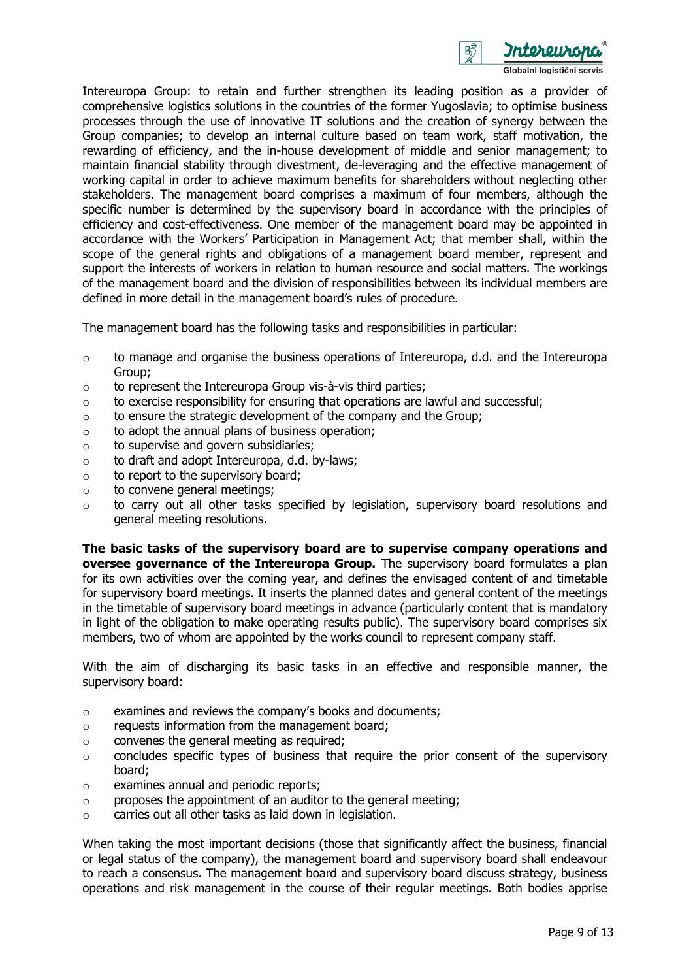

Intereuropa Group: to retain and further strengthen its leading position as a provider of comprehensive logistics solutions in the countries of the former Yugoslavia; to optimise business processes through the use of innovative IT solutions and the creation of synergy between the Group companies; to develop an internal culture based on team work, staff motivation, the rewarding of efficiency, and the in-house development of middle and senior management; to maintain financial stability through divestment, de-leveraging and the effective management of working capital in order to achieve maximum benefits for shareholders without neglecting other stakeholders. The management board comprises a maximum of four members, although the specific number is determined by the supervisory board in accordance with the principles of efficiency and cost-effectiveness. One member of the management board may be appointed in accordance with the Workers' Participation in Management Act; that member shall, within the scope of the general rights and obligations of a management board member, represent and support the interests of workers in relation to human resource and social matters. The workings of the management board and the division of responsibilities between its individual members are defined in more detail in the management board's rules of procedure.

The management board has the following tasks and responsibilities in particular:

- o to manage and organise the business operations of Intereuropa, d.d. and the Intereuropa Group;
- $\circ$  to represent the Intereuropa Group vis-à-vis third parties;
- $\circ$  to exercise responsibility for ensuring that operations are lawful and successful;
- $\circ$  to ensure the strategic development of the company and the Group;
- $\circ$  to adopt the annual plans of business operation:
- o to supervise and govern subsidiaries;
- o to draft and adopt Intereuropa, d.d. by-laws;
- o to report to the supervisory board;
- o to convene general meetings;
- $\circ$  to carry out all other tasks specified by legislation, supervisory board resolutions and general meeting resolutions.

**The basic tasks of the supervisory board are to supervise company operations and oversee governance of the Intereuropa Group.** The supervisory board formulates a plan for its own activities over the coming year, and defines the envisaged content of and timetable for supervisory board meetings. It inserts the planned dates and general content of the meetings in the timetable of supervisory board meetings in advance (particularly content that is mandatory in light of the obligation to make operating results public). The supervisory board comprises six members, two of whom are appointed by the works council to represent company staff.

With the aim of discharging its basic tasks in an effective and responsible manner, the supervisory board:

- o examines and reviews the company's books and documents;
- o requests information from the management board;
- o convenes the general meeting as required;
- o concludes specific types of business that require the prior consent of the supervisory board;
- o examines annual and periodic reports;
- o proposes the appointment of an auditor to the general meeting;
- o carries out all other tasks as laid down in legislation.

When taking the most important decisions (those that significantly affect the business, financial or legal status of the company), the management board and supervisory board shall endeavour to reach a consensus. The management board and supervisory board discuss strategy, business operations and risk management in the course of their regular meetings. Both bodies apprise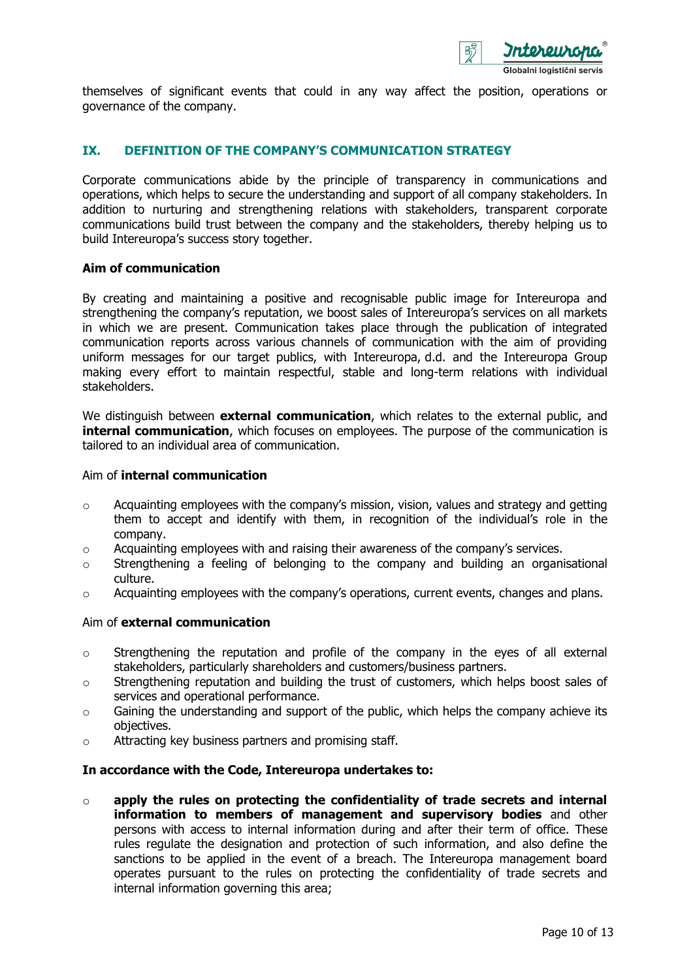

themselves of significant events that could in any way affect the position, operations or governance of the company.

## **IX. DEFINITION OF THE COMPANY'S COMMUNICATION STRATEGY**

Corporate communications abide by the principle of transparency in communications and operations, which helps to secure the understanding and support of all company stakeholders. In addition to nurturing and strengthening relations with stakeholders, transparent corporate communications build trust between the company and the stakeholders, thereby helping us to build Intereuropa's success story together.

### **Aim of communication**

By creating and maintaining a positive and recognisable public image for Intereuropa and strengthening the company's reputation, we boost sales of Intereuropa's services on all markets in which we are present. Communication takes place through the publication of integrated communication reports across various channels of communication with the aim of providing uniform messages for our target publics, with Intereuropa, d.d. and the Intereuropa Group making every effort to maintain respectful, stable and long-term relations with individual stakeholders.

We distinguish between **external communication**, which relates to the external public, and **internal communication**, which focuses on employees. The purpose of the communication is tailored to an individual area of communication.

#### Aim of **internal communication**

- o Acquainting employees with the company's mission, vision, values and strategy and getting them to accept and identify with them, in recognition of the individual's role in the company.
- $\circ$  Acquainting employees with and raising their awareness of the company's services.
- o Strengthening a feeling of belonging to the company and building an organisational culture.
- $\circ$  Acquainting employees with the company's operations, current events, changes and plans.

#### Aim of **external communication**

- o Strengthening the reputation and profile of the company in the eyes of all external stakeholders, particularly shareholders and customers/business partners.
- o Strengthening reputation and building the trust of customers, which helps boost sales of services and operational performance.
- $\circ$  Gaining the understanding and support of the public, which helps the company achieve its objectives.
- o Attracting key business partners and promising staff.

#### **In accordance with the Code, Intereuropa undertakes to:**

o **apply the rules on protecting the confidentiality of trade secrets and internal information to members of management and supervisory bodies** and other persons with access to internal information during and after their term of office. These rules regulate the designation and protection of such information, and also define the sanctions to be applied in the event of a breach. The Intereuropa management board operates pursuant to the rules on protecting the confidentiality of trade secrets and internal information governing this area;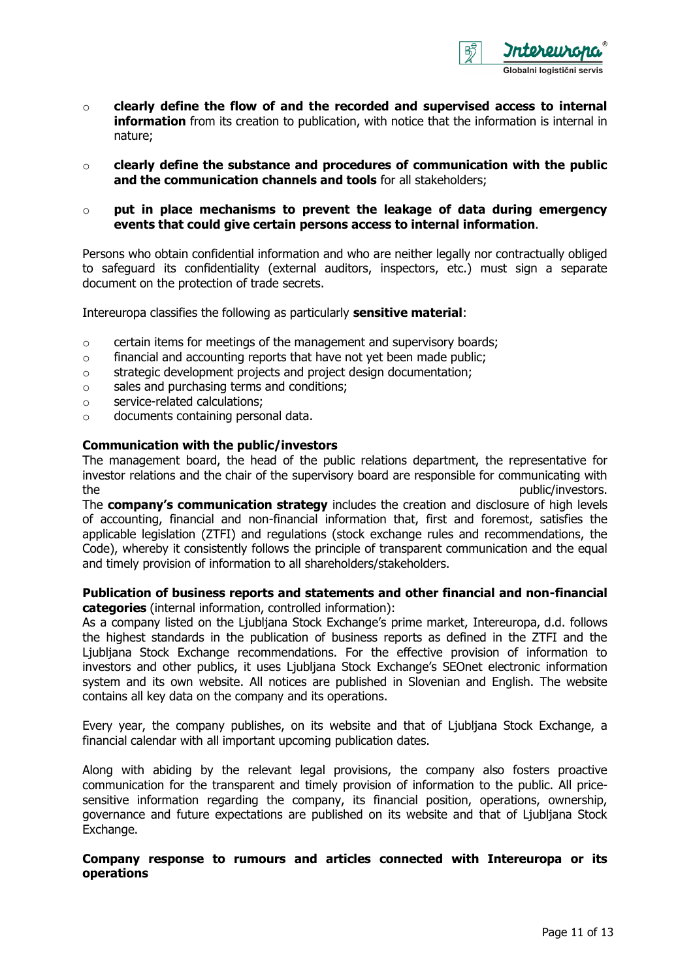

- o **clearly define the flow of and the recorded and supervised access to internal information** from its creation to publication, with notice that the information is internal in nature;
- o **clearly define the substance and procedures of communication with the public and the communication channels and tools** for all stakeholders;
- o **put in place mechanisms to prevent the leakage of data during emergency events that could give certain persons access to internal information**.

Persons who obtain confidential information and who are neither legally nor contractually obliged to safeguard its confidentiality (external auditors, inspectors, etc.) must sign a separate document on the protection of trade secrets.

Intereuropa classifies the following as particularly **sensitive material**:

- $\circ$  certain items for meetings of the management and supervisory boards;
- o financial and accounting reports that have not yet been made public;
- o strategic development projects and project design documentation;
- o sales and purchasing terms and conditions;
- o service-related calculations;
- o documents containing personal data.

#### **Communication with the public/investors**

The management board, the head of the public relations department, the representative for investor relations and the chair of the supervisory board are responsible for communicating with the public/investors.

The **company's communication strategy** includes the creation and disclosure of high levels of accounting, financial and non-financial information that, first and foremost, satisfies the applicable legislation (ZTFI) and regulations (stock exchange rules and recommendations, the Code), whereby it consistently follows the principle of transparent communication and the equal and timely provision of information to all shareholders/stakeholders.

#### **Publication of business reports and statements and other financial and non-financial categories** (internal information, controlled information):

As a company listed on the Ljubljana Stock Exchange's prime market, Intereuropa, d.d. follows the highest standards in the publication of business reports as defined in the ZTFI and the Ljubljana Stock Exchange recommendations. For the effective provision of information to investors and other publics, it uses Ljubljana Stock Exchange's SEOnet electronic information system and its own website. All notices are published in Slovenian and English. The website contains all key data on the company and its operations.

Every year, the company publishes, on its website and that of Ljubljana Stock Exchange, a financial calendar with all important upcoming publication dates.

Along with abiding by the relevant legal provisions, the company also fosters proactive communication for the transparent and timely provision of information to the public. All pricesensitive information regarding the company, its financial position, operations, ownership, governance and future expectations are published on its website and that of Ljubljana Stock Exchange.

### **Company response to rumours and articles connected with Intereuropa or its operations**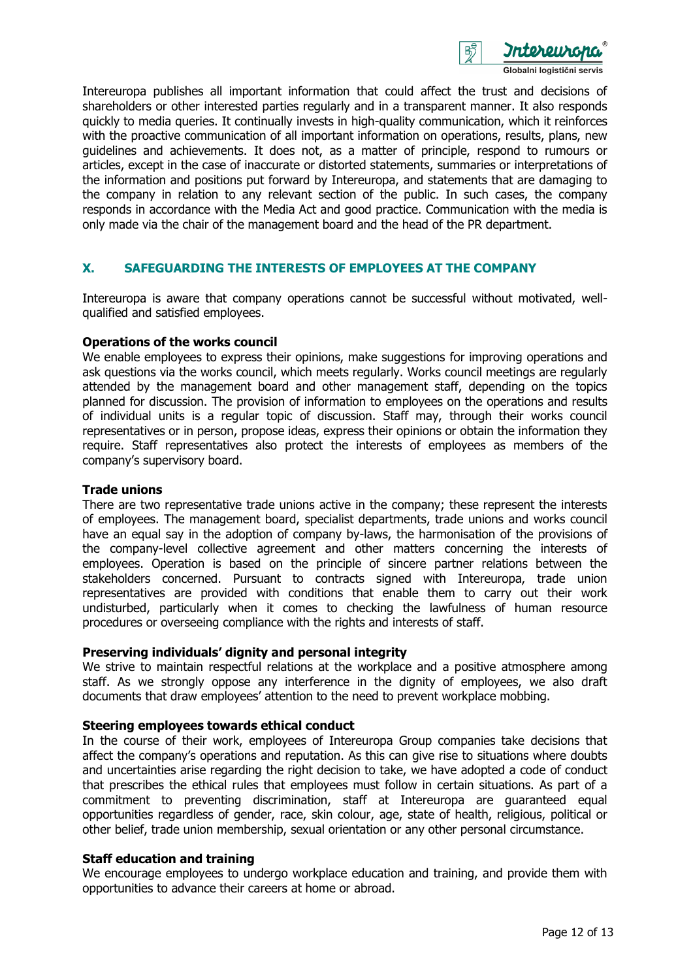

Intereuropa publishes all important information that could affect the trust and decisions of shareholders or other interested parties regularly and in a transparent manner. It also responds quickly to media queries. It continually invests in high-quality communication, which it reinforces with the proactive communication of all important information on operations, results, plans, new guidelines and achievements. It does not, as a matter of principle, respond to rumours or articles, except in the case of inaccurate or distorted statements, summaries or interpretations of the information and positions put forward by Intereuropa, and statements that are damaging to the company in relation to any relevant section of the public. In such cases, the company responds in accordance with the Media Act and good practice. Communication with the media is only made via the chair of the management board and the head of the PR department.

## **X. SAFEGUARDING THE INTERESTS OF EMPLOYEES AT THE COMPANY**

Intereuropa is aware that company operations cannot be successful without motivated, wellqualified and satisfied employees.

#### **Operations of the works council**

We enable employees to express their opinions, make suggestions for improving operations and ask questions via the works council, which meets regularly. Works council meetings are regularly attended by the management board and other management staff, depending on the topics planned for discussion. The provision of information to employees on the operations and results of individual units is a regular topic of discussion. Staff may, through their works council representatives or in person, propose ideas, express their opinions or obtain the information they require. Staff representatives also protect the interests of employees as members of the company's supervisory board.

#### **Trade unions**

There are two representative trade unions active in the company; these represent the interests of employees. The management board, specialist departments, trade unions and works council have an equal say in the adoption of company by-laws, the harmonisation of the provisions of the company-level collective agreement and other matters concerning the interests of employees. Operation is based on the principle of sincere partner relations between the stakeholders concerned. Pursuant to contracts signed with Intereuropa, trade union representatives are provided with conditions that enable them to carry out their work undisturbed, particularly when it comes to checking the lawfulness of human resource procedures or overseeing compliance with the rights and interests of staff.

#### **Preserving individuals' dignity and personal integrity**

We strive to maintain respectful relations at the workplace and a positive atmosphere among staff. As we strongly oppose any interference in the dignity of employees, we also draft documents that draw employees' attention to the need to prevent workplace mobbing.

#### **Steering employees towards ethical conduct**

In the course of their work, employees of Intereuropa Group companies take decisions that affect the company's operations and reputation. As this can give rise to situations where doubts and uncertainties arise regarding the right decision to take, we have adopted a code of conduct that prescribes the ethical rules that employees must follow in certain situations. As part of a commitment to preventing discrimination, staff at Intereuropa are guaranteed equal opportunities regardless of gender, race, skin colour, age, state of health, religious, political or other belief, trade union membership, sexual orientation or any other personal circumstance.

#### **Staff education and training**

We encourage employees to undergo workplace education and training, and provide them with opportunities to advance their careers at home or abroad.